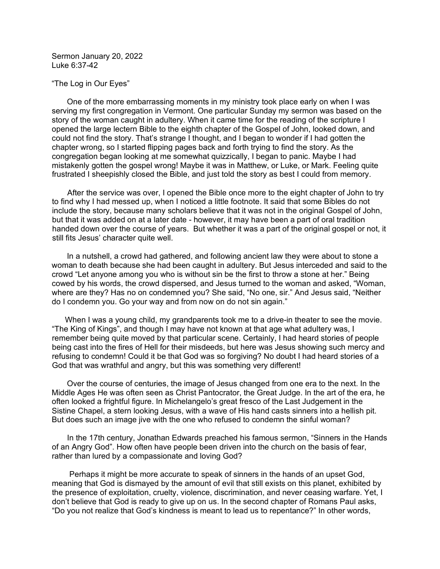Sermon January 20, 2022 Luke 6:37-42

## "The Log in Our Eyes"

 One of the more embarrassing moments in my ministry took place early on when I was serving my first congregation in Vermont. One particular Sunday my sermon was based on the story of the woman caught in adultery. When it came time for the reading of the scripture I opened the large lectern Bible to the eighth chapter of the Gospel of John, looked down, and could not find the story. That's strange I thought, and I began to wonder if I had gotten the chapter wrong, so I started flipping pages back and forth trying to find the story. As the congregation began looking at me somewhat quizzically, I began to panic. Maybe I had mistakenly gotten the gospel wrong! Maybe it was in Matthew, or Luke, or Mark. Feeling quite frustrated I sheepishly closed the Bible, and just told the story as best I could from memory.

 After the service was over, I opened the Bible once more to the eight chapter of John to try to find why I had messed up, when I noticed a little footnote. It said that some Bibles do not include the story, because many scholars believe that it was not in the original Gospel of John, but that it was added on at a later date - however, it may have been a part of oral tradition handed down over the course of years. But whether it was a part of the original gospel or not, it still fits Jesus' character quite well.

 In a nutshell, a crowd had gathered, and following ancient law they were about to stone a woman to death because she had been caught in adultery. But Jesus interceded and said to the crowd "Let anyone among you who is without sin be the first to throw a stone at her." Being cowed by his words, the crowd dispersed, and Jesus turned to the woman and asked, "Woman, where are they? Has no on condemned you? She said, "No one, sir." And Jesus said, "Neither do I condemn you. Go your way and from now on do not sin again."

 When I was a young child, my grandparents took me to a drive-in theater to see the movie. "The King of Kings", and though I may have not known at that age what adultery was, I remember being quite moved by that particular scene. Certainly, I had heard stories of people being cast into the fires of Hell for their misdeeds, but here was Jesus showing such mercy and refusing to condemn! Could it be that God was so forgiving? No doubt I had heard stories of a God that was wrathful and angry, but this was something very different!

 Over the course of centuries, the image of Jesus changed from one era to the next. In the Middle Ages He was often seen as Christ Pantocrator, the Great Judge. In the art of the era, he often looked a frightful figure. In Michelangelo's great fresco of the Last Judgement in the Sistine Chapel, a stern looking Jesus, with a wave of His hand casts sinners into a hellish pit. But does such an image jive with the one who refused to condemn the sinful woman?

 In the 17th century, Jonathan Edwards preached his famous sermon, "Sinners in the Hands of an Angry God". How often have people been driven into the church on the basis of fear, rather than lured by a compassionate and loving God?

 Perhaps it might be more accurate to speak of sinners in the hands of an upset God, meaning that God is dismayed by the amount of evil that still exists on this planet, exhibited by the presence of exploitation, cruelty, violence, discrimination, and never ceasing warfare. Yet, I don't believe that God is ready to give up on us. In the second chapter of Romans Paul asks, "Do you not realize that God's kindness is meant to lead us to repentance?" In other words,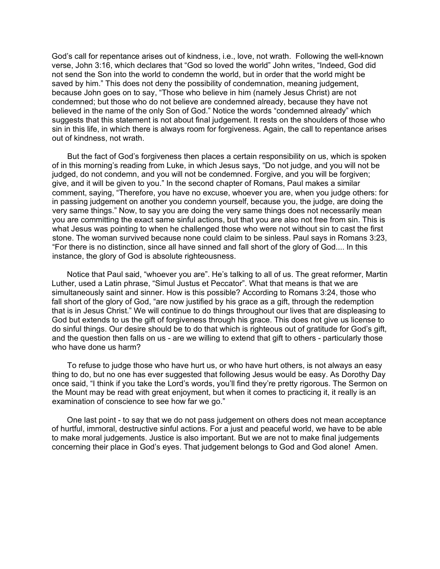God's call for repentance arises out of kindness, i.e., love, not wrath. Following the well-known verse, John 3:16, which declares that "God so loved the world" John writes, "Indeed, God did not send the Son into the world to condemn the world, but in order that the world might be saved by him." This does not deny the possibility of condemnation, meaning judgement. because John goes on to say, "Those who believe in him (namely Jesus Christ) are not condemned; but those who do not believe are condemned already, because they have not believed in the name of the only Son of God." Notice the words "condemned already" which suggests that this statement is not about final judgement. It rests on the shoulders of those who sin in this life, in which there is always room for forgiveness. Again, the call to repentance arises out of kindness, not wrath.

 But the fact of God's forgiveness then places a certain responsibility on us, which is spoken of in this morning's reading from Luke, in which Jesus says, "Do not judge, and you will not be judged, do not condemn, and you will not be condemned. Forgive, and you will be forgiven; give, and it will be given to you." In the second chapter of Romans, Paul makes a similar comment, saying, "Therefore, you have no excuse, whoever you are, when you judge others: for in passing judgement on another you condemn yourself, because you, the judge, are doing the very same things." Now, to say you are doing the very same things does not necessarily mean you are committing the exact same sinful actions, but that you are also not free from sin. This is what Jesus was pointing to when he challenged those who were not without sin to cast the first stone. The woman survived because none could claim to be sinless. Paul says in Romans 3:23, "For there is no distinction, since all have sinned and fall short of the glory of God.... In this instance, the glory of God is absolute righteousness.

 Notice that Paul said, "whoever you are". He's talking to all of us. The great reformer, Martin Luther, used a Latin phrase, "Simul Justus et Peccator". What that means is that we are simultaneously saint and sinner. How is this possible? According to Romans 3:24, those who fall short of the glory of God, "are now justified by his grace as a gift, through the redemption that is in Jesus Christ." We will continue to do things throughout our lives that are displeasing to God but extends to us the gift of forgiveness through his grace. This does not give us license to do sinful things. Our desire should be to do that which is righteous out of gratitude for God's gift, and the question then falls on us - are we willing to extend that gift to others - particularly those who have done us harm?

 To refuse to judge those who have hurt us, or who have hurt others, is not always an easy thing to do, but no one has ever suggested that following Jesus would be easy. As Dorothy Day once said, "I think if you take the Lord's words, you'll find they're pretty rigorous. The Sermon on the Mount may be read with great enjoyment, but when it comes to practicing it, it really is an examination of conscience to see how far we go."

 One last point - to say that we do not pass judgement on others does not mean acceptance of hurtful, immoral, destructive sinful actions. For a just and peaceful world, we have to be able to make moral judgements. Justice is also important. But we are not to make final judgements concerning their place in God's eyes. That judgement belongs to God and God alone! Amen.